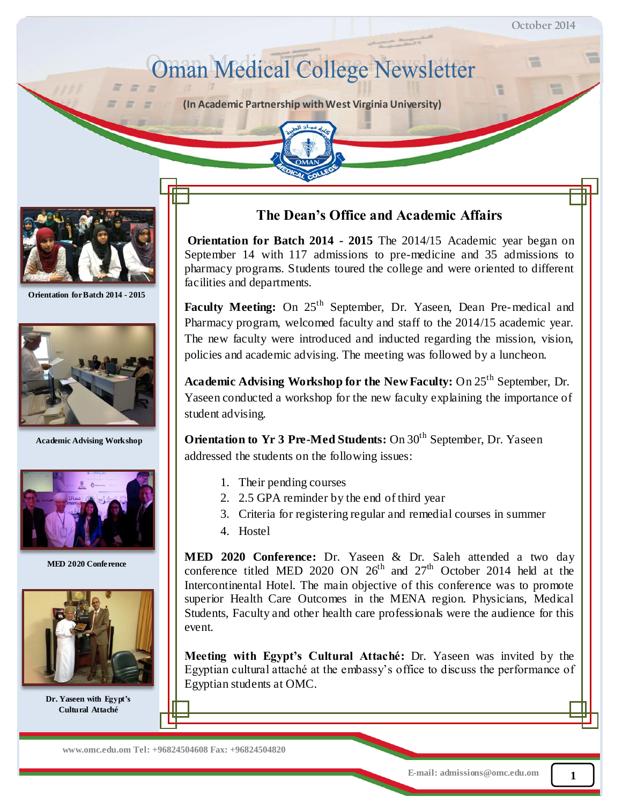# **Oman Medical College Newsletter**

**(In Academic Partnership with West Virginia University)**



 $=$ 

**Orientation for Batch 2014 - 2015**



**Academic Advising Workshop**



**MED 2020 Conference**



**Dr. Yaseen with Egypt's Cultural Attaché**

## **The Dean's Office and Academic Affairs**

**Orientation for Batch 2014 - 2015** The 2014/15 Academic year began on September 14 with 117 admissions to pre-medicine and 35 admissions to pharmacy programs. Students toured the college and were oriented to different facilities and departments.

**Faculty Meeting:** On 25<sup>th</sup> September, Dr. Yaseen, Dean Pre-medical and Pharmacy program, welcomed faculty and staff to the 2014/15 academic year. The new faculty were introduced and inducted regarding the mission, vision, policies and academic advising. The meeting was followed by a luncheon.

**Academic Advising Workshop for the New Faculty:** On 25<sup>th</sup> September, Dr. Yaseen conducted a workshop for the new faculty explaining the importance of student advising.

**Orientation to Yr 3 Pre-Med Students:** On 30<sup>th</sup> September, Dr. Yaseen addressed the students on the following issues:

- 1. Their pending courses
- 2. 2.5 GPA reminder by the end of third year
- 3. Criteria for registering regular and remedial courses in summer
- 4. Hostel

**MED 2020 Conference:** Dr. Yaseen & Dr. Saleh attended a two day conference titled MED 2020 ON  $26<sup>th</sup>$  and  $27<sup>th</sup>$  October 2014 held at the Intercontinental Hotel. The main objective of this conference was to promote superior Health Care Outcomes in the MENA region. Physicians, Medical Students, Faculty and other health care professionals were the audience for this event.

**Meeting with Egypt's Cultural Attaché:** Dr. Yaseen was invited by the Egyptian cultural attaché at the embassy's office to discuss the performance of Egyptian students at OMC.

 **www.omc.edu.om Tel: +96824504608 Fax: +96824504820**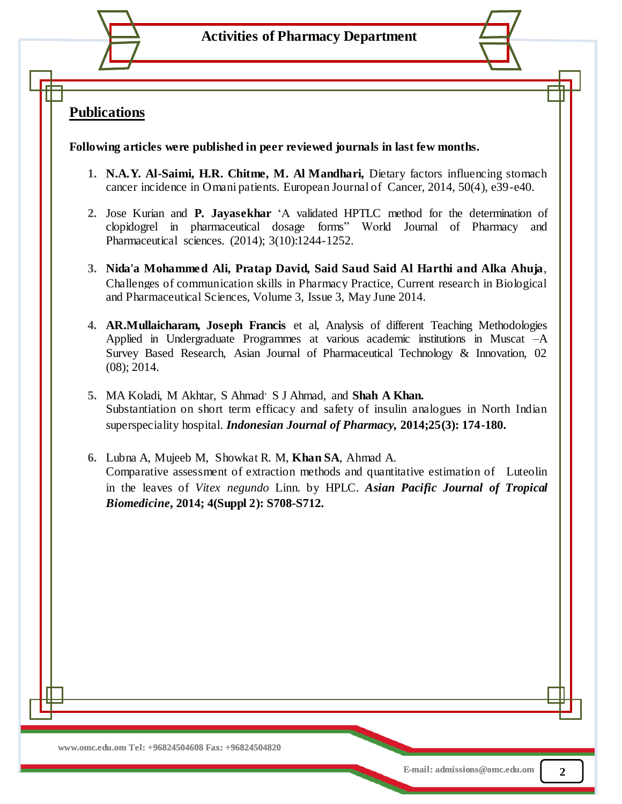## **Publications**

**Following articles were published in peer reviewed journals in last few months.**

- **1. N.A.Y. Al-Saimi, H.R. Chitme, M. Al Mandhari,** Dietary factors influencing stomach cancer incidence in Omani patients. European Journal of Cancer, 2014, 50(4), e39-e40.
- **2.** Jose Kurian and **P. Jayasekhar** 'A validated HPTLC method for the determination of clopidogrel in pharmaceutical dosage forms" World Journal of Pharmacy and Pharmaceutical sciences. (2014); 3(10):1244-1252.
- **3. Nida'a Mohammed Ali, Pratap David, Said Saud Said Al Harthi and Alka Ahuja**, Challenges of communication skills in Pharmacy Practice, Current research in Biological and Pharmaceutical Sciences, Volume 3, Issue 3, May June 2014.
- **4. AR.Mullaicharam, Joseph Francis** et al, Analysis of different Teaching Methodologies Applied in Undergraduate Programmes at various academic institutions in Muscat –A Survey Based Research, Asian Journal of Pharmaceutical Technology & Innovation, 02 (08); 2014.
- **5.** MA Koladi, M Akhtar, S Ahmad, S J Ahmad, and **Shah A Khan.** Substantiation on short term efficacy and safety of insulin analogues in North Indian superspeciality hospital. *Indonesian Journal of Pharmacy,* **2014;25(3): 174-180.**
- **6.** Lubna A, Mujeeb M, Showkat R. M, **Khan SA**, Ahmad A. Comparative assessment of extraction methods and quantitative estimation of Luteolin in the leaves of *Vitex negundo* Linn. by HPLC. *Asian Pacific Journal of Tropical Biomedicine***, 2014; 4(Suppl 2): S708-S712.**

**2**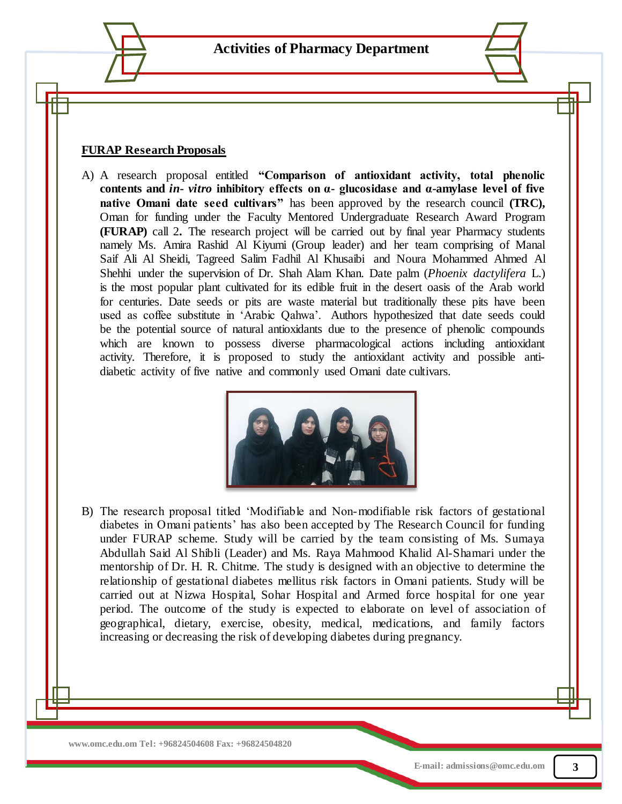#### **FURAP Research Proposals**

A) A research proposal entitled **"Comparison of antioxidant activity, total phenolic contents and** *in- vitro* **inhibitory effects on α- glucosidase and α-amylase level of five native Omani date seed cultivars"** has been approved by the research council **(TRC),**  Oman for funding under the Faculty Mentored Undergraduate Research Award Program **(FURAP)** call 2**.** The research project will be carried out by final year Pharmacy students namely Ms. Amira Rashid Al Kiyumi (Group leader) and her team comprising of Manal Saif Ali Al Sheidi, Tagreed Salim Fadhil Al Khusaibi and Noura Mohammed Ahmed Al Shehhi under the supervision of Dr. Shah Alam Khan. Date palm (*Phoenix dactylifera* L.) is the most popular plant cultivated for its edible fruit in the desert oasis of the Arab world for centuries. Date seeds or pits are waste material but traditionally these pits have been used as coffee substitute in 'Arabic Qahwa'. Authors hypothesized that date seeds could be the potential source of natural antioxidants due to the presence of phenolic compounds which are known to possess diverse pharmacological actions including antioxidant activity. Therefore, it is proposed to study the antioxidant activity and possible antidiabetic activity of five native and commonly used Omani date cultivars.



B) The research proposal titled 'Modifiable and Non-modifiable risk factors of gestational diabetes in Omani patients' has also been accepted by The Research Council for funding under FURAP scheme. Study will be carried by the team consisting of Ms. Sumaya Abdullah Said Al Shibli (Leader) and Ms. Raya Mahmood Khalid Al-Shamari under the mentorship of Dr. H. R. Chitme. The study is designed with an objective to determine the relationship of gestational diabetes mellitus risk factors in Omani patients. Study will be carried out at Nizwa Hospital, Sohar Hospital and Armed force hospital for one year period. The outcome of the study is expected to elaborate on level of association of geographical, dietary, exercise, obesity, medical, medications, and family factors increasing or decreasing the risk of developing diabetes during pregnancy.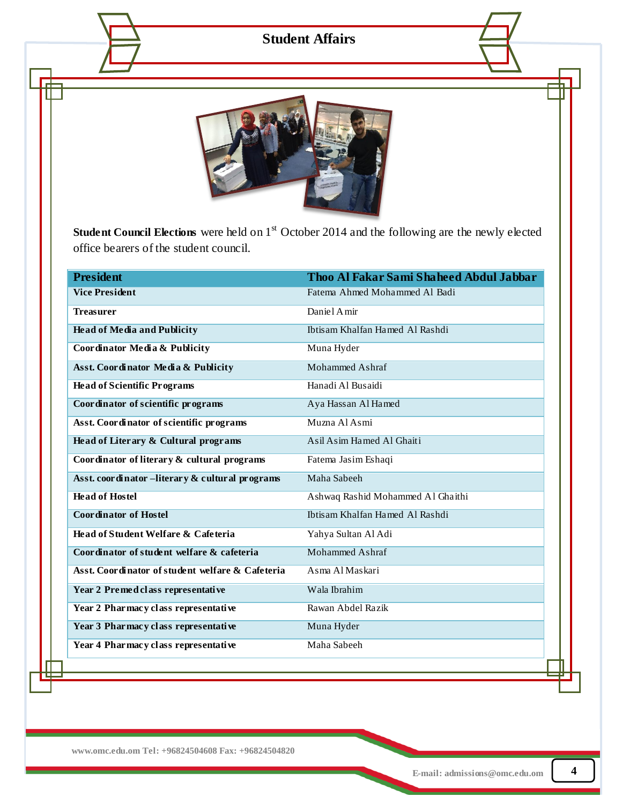## **Student Affairs**

![](_page_3_Picture_1.jpeg)

office bearers of the student council. **Student Council Elections** were held on 1<sup>st</sup> October 2014 and the following are the newly elected

| <b>President</b>                                 | Thoo Al Fakar Sami Shaheed Abdul Jabbar |
|--------------------------------------------------|-----------------------------------------|
| <b>Vice President</b>                            | Fatema Ahmed Mohammed Al Badi           |
| <b>Treasurer</b>                                 | Daniel A mir                            |
| <b>Head of Media and Publicity</b>               | Ibtisam Khalfan Hamed Al Rashdi         |
| Coordinator Media & Publicity                    | Muna Hyder                              |
| Asst. Coordinator Media & Publicity              | Mohammed Ashraf                         |
| <b>Head of Scientific Programs</b>               | Hanadi Al Busaidi                       |
| Coordinator of scientific programs               | Aya Hassan Al Hamed                     |
| Asst. Coordinator of scientific programs         | Muzna Al Asmi                           |
| Head of Literary & Cultural programs             | Asil Asim Hamed Al Ghaiti               |
| Coordinator of literary & cultural programs      | Fatema Jasim Eshaqi                     |
| Asst. coordinator -literary & cultural programs  | Maha Sabeeh                             |
| <b>Head of Hostel</b>                            | Ashwaq Rashid Mohammed Al Ghaithi       |
| <b>Coordinator of Hostel</b>                     | Ibtisam Khalfan Hamed Al Rashdi         |
| Head of Student Welfare & Cafeteria              | Yahya Sultan Al Adi                     |
| Coordinator of student welfare & cafeteria       | <b>Mohammed Ashraf</b>                  |
| Asst. Coordinator of student welfare & Cafeteria | Asma Al Maskari                         |
| Year 2 Premed class representative               | Wala Ibrahim                            |
| Year 2 Pharmacy class representative             | Rawan Abdel Razik                       |
| Year 3 Pharmacy class representative             | Muna Hyder                              |
| Year 4 Pharmacy class representative             | Maha Sabeeh                             |
|                                                  |                                         |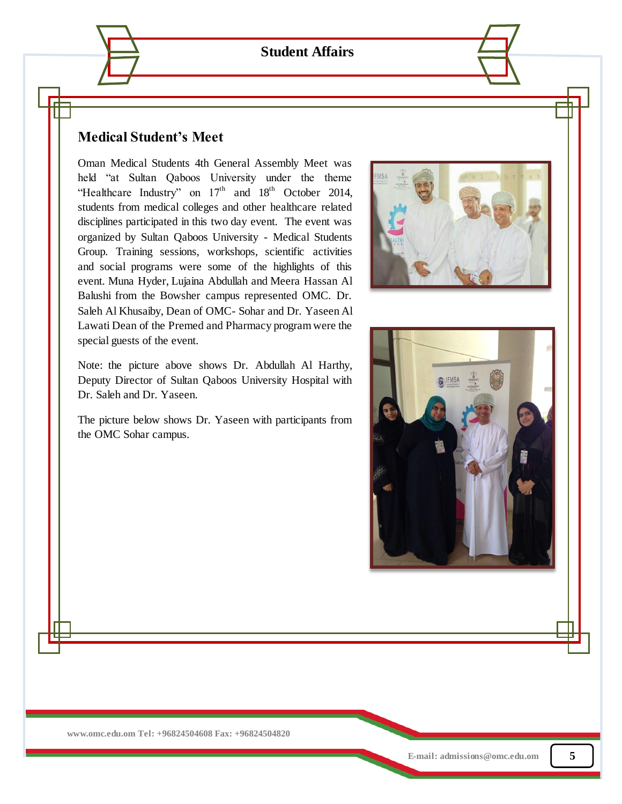**Student Affairs**

#### $\mathbf{M}$  Medical General Assembly Meet was held "at Sultan Taboos' University University University University University University University University University University University University University University **Medical Student's Meet**

beld "at Sultan Qaboos' University under the theme which are some of the social programs which are some of the social programs were some of the  $\mathbb{R}$ "Healthcare Industry" on  $17<sup>th</sup>$  and  $18<sup>th</sup>$  October 2014, students from medical colleges and other healthcare related disciplines participated in this two day event. The event was Group. Training sessions, workshops, scientific activities and social programs were some of the highlights of this Balushi from the Bowsher campus represented OMC. Dr. Saleh Al Khusaiby, Dean of OMC- Sohar and Dr. Yaseen Al Lawati Dean of the Premed and Pharmacy program were the **Internal - Overview and Pharmacy program** were the special guests of the event. Oman Medical Students 4th General Assembly Meet was organized by Sultan Qaboos University - Medical Students event. Muna Hyder, Lujaina Abdullah and Meera Hassan Al

Note: the picture above shows Dr. Abdullah Al Harthy, Deputy Director of Sultan Qaboos University Hospital with  $\mathcal{L}$  For further details please contact Ms Suddha. Dr. Saleh and Dr. Yaseen.

**E Resources and Databases** The picture below shows Dr. Yaseen with participants from the OMC Sohar campus.

![](_page_4_Picture_5.jpeg)

![](_page_4_Picture_6.jpeg)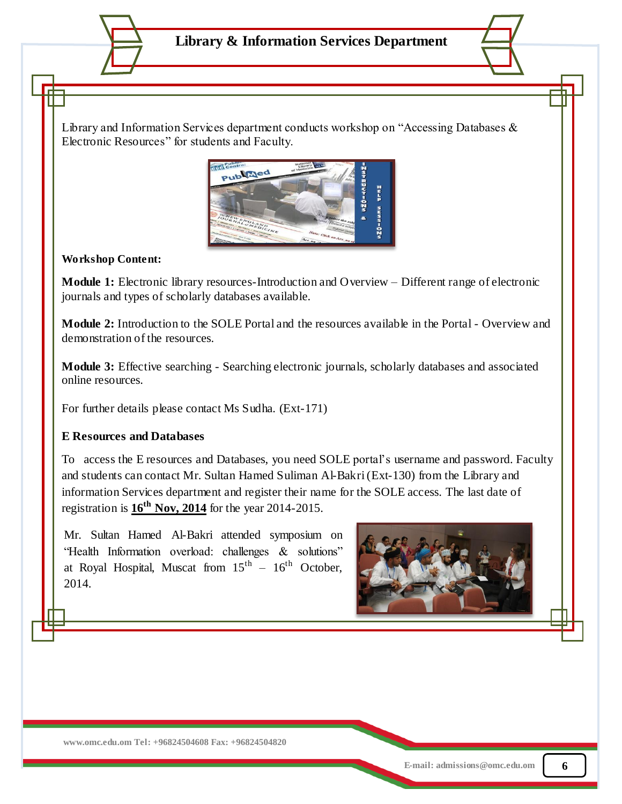Library and Information Services department conducts workshop on "Accessing Databases & Electronic Resources" for students and Faculty.

![](_page_5_Picture_2.jpeg)

#### **Workshop Content:**

**Module 1:** Electronic library resources-Introduction and Overview – Different range of electronic journals and types of scholarly databases available.

**Module 2:** Introduction to the SOLE Portal and the resources available in the Portal - Overview and demonstration of the resources.

**Module 3:** Effective searching - Searching electronic journals, scholarly databases and associated online resources.

For further details please contact Ms Sudha. (Ext-171)

### **E Resources and Databases**

To access the E resources and Databases, you need SOLE portal's username and password. Faculty and students can contact Mr. Sultan Hamed Suliman Al-Bakri (Ext-130) from the Library and information Services department and register their name for the SOLE access. The last date of registration is **16th Nov, 2014** for the year 2014-2015.

Mr. Sultan Hamed Al-Bakri attended symposium on "Health Information overload: challenges & solutions" at Royal Hospital, Muscat from  $15<sup>th</sup> - 16<sup>th</sup>$  October, 2014.

![](_page_5_Picture_11.jpeg)